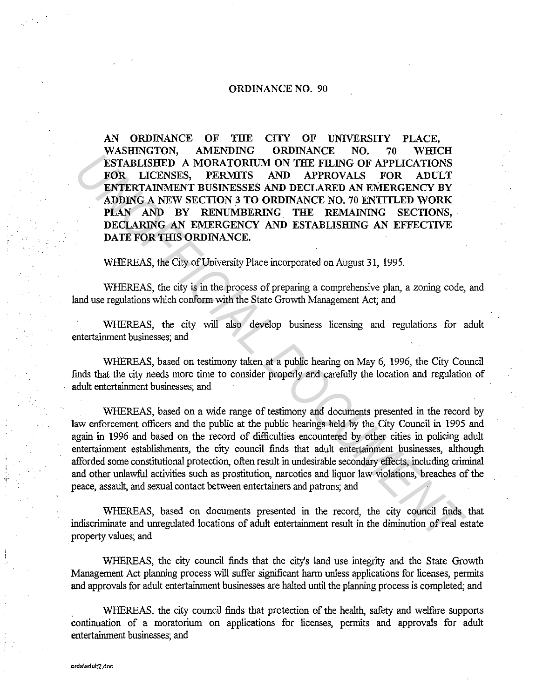## ORDINANCE NO. 90

AN ORDINANCE OF THE CITY OF UNIVERSITY PLACE, WASHINGTON, AMENDING ORDINANCE NO. 70 WHICH ESTABLISHED A MORATORIUM ON THE FILING OF APPLICATIONS FOR LICENSES, PERMITS AND APPROVALS FOR ADULT ENTERTAINMENT BUSINESSES AND DECLARED AN EMERGENCY BY ADDING A NEW SECTION 3 TO ORDINANCE NO. 70 ENTITLED WORK PLAN AND BY RENUMBERING THE REMAINING SECTIONS, DECLARING AN EMERGENCY AND ESTABLISHING AN EFFECTIVE DATE FOR THIS ORDINANCE.

WHEREAS, the City of University Place incorporated on August 31, 1995.

WHEREAS, the city is in the process of preparing a comprehensive plan, a zoning code, and land use regulations which conform with the State Growth Management Act; and

WHEREAS, the city will also develop business licensing and regulations for adult entertainment businesses; and

WHEREAS, based on testimony taken at a public hearing on May 6, 1996, the City Council finds that the city needs more time to consider properly and carefully the location and regulation of adult entertainment businesses; and

WHEREAS, based on a wide range of testimony and documents presented in the record by law enforcement officers and the public at the public hearings held by the City Council in 1995 and again in 1996 and based on the record of difficulties encountered by other cities in policing adult entertainment establishments, the city council finds that adult entertainment businesses, although afforded some constitutional protection, often result in undesirable secondary effects, including criminal and other unlawful activities such as prostitution, narcotics and liquor law violations, breaches of the peace, assault, and sexual contact between entertainers and patrons; and **EXAMELISHED A MORATORIUM ON THE FILING OF APPLICATIONS**<br> **EXAMELISHED** A MORATORIUM ON THE FILING OF APPLICATIONS<br>
FOR LICENSES, PERMITS AND DEPRIQUED AND MERECENCY BY<br> **ADDING A NEW SECTION 3 TO ORDINANCE NO. 70 ENTITLED** 

WHEREAS, based on documents presented in the record, the city council finds that indiscriminate and umegulated locations of adult entertainment result in the diminution of real estate property values; and

WHEREAS, the city council finds that the city's land use integrity and the State Growth Management Act planning process will suffer significant harm unless applications for licenses, permits and approvals for adult entertainment businesses are halted until the planning process is completed; and

WHEREAS, the city council finds that protection of the health, safety and welfare supports continuation of a moratorium on applications for licenses, permits and approvals for adult entertainment businesses; and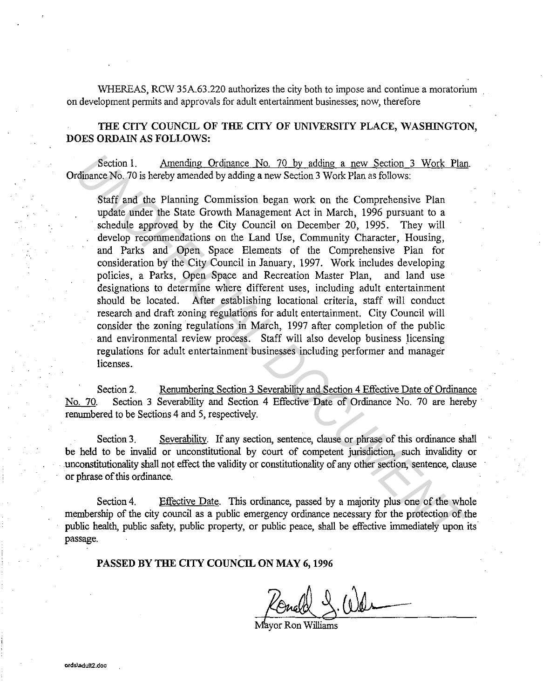WHEREAS, RCW 35A.63.220 authorizes the city both to impose and continue a moratorium on development permits and approvals for adult entertainment businesses; now, therefore

THE CITY COUNCIL OF THE CITY OF UNIVERSITY PLACE, WASHINGTON, DOES ORDAIN AS FOLLOWS:

Section 1. Amending Ordinance No. 70 by adding a new Section 3 Work Plan. Ordinance No. 70 is hereby amended by adding a new Section 3 Work Plan as follows:

Staff and the Planning Commission began work on the Comprehensive Plan update under the State Growth Management Act in March, 1996 pursuant to a schedule approved by the City Council on December 20, 1995. They will develop recommendations on the Land Use, Community Character, Housing, and Parks and Open Space Elements of the Comprehensive Plan for consideration by the City Council in January, 1997. Work includes developing policies, a Parks, Open Space and Recreation Master Plan, and land use designations to determine where different uses, including adult entertainment should be located. After establishing locational criteria, staff will conduct research and draft zoning regulations for adult entertainment. City Council will consider the zoning regulations in March, 1997 after completion of the public and environmental review process. Staff will also develop business licensing regulations for adult entertainment businesses including performer and manager licenses. Section 1. Amending Ordiname No. 70 by adding a new Section 3 Work Plancharce No. 70 is hereby amended by adding a new Section 3 Work Plan as follows:<br>
Scaff and the Planching Commission began work on the Comprehensive Pla

Section 2. Renumbering Section 3 Severability and Section 4 Effective Date of Ordinance No. 70. Section 3 Severability and Section 4 Effective Date of Ordinance No. 70 are hereby renumbered to be Sections 4 and 5, respectively.

Section 3. Severability. If any section, sentence, clause or phrase of this ordinance shall be held to be invalid or unconstitutional by court of competent jurisdiction, such invalidity or unconstitutionality shall not effect the validity or constitutionality of any other section, sentence, clause or phrase of this ordinance.

Section 4. Effective Date. This ordinance, passed by a majority plus one of the whole membership of the city council as a public emergency ordinance necessary for the protection of the public health, public safety, public property, or public peace, shall be effective immediately upon its passage.

PASSED BY THE CITY COUNCIL ON MAY 6, 1996

Mavor Ron Williams